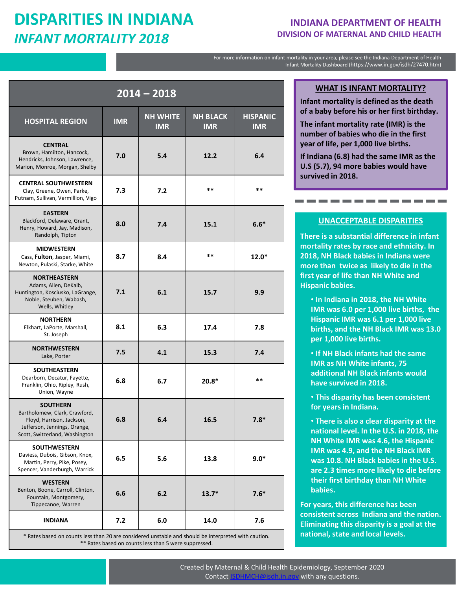## DISPARITIES IN INDIANA INFANT MORTALITY 2018

## INDIANA DEPARTMENT OF HEALTH DIVISION OF MATERNAL AND CHILD HEALTH

|                                                                                                                                                 | <b>DIVISION OF MATERNAL AND CHILD HEALTH</b><br><b>INFANT MORTALITY 2018</b><br>For more information on infant mortality in your area, please see the Indiana Department of Health |                               |                               |                               |                                                                                                                                                                                                                                                                                                                                                                                                                                                                                                                                                                                                                                                                                                                                                                                                                                                                                                                                                                                                                                                   |  |
|-------------------------------------------------------------------------------------------------------------------------------------------------|------------------------------------------------------------------------------------------------------------------------------------------------------------------------------------|-------------------------------|-------------------------------|-------------------------------|---------------------------------------------------------------------------------------------------------------------------------------------------------------------------------------------------------------------------------------------------------------------------------------------------------------------------------------------------------------------------------------------------------------------------------------------------------------------------------------------------------------------------------------------------------------------------------------------------------------------------------------------------------------------------------------------------------------------------------------------------------------------------------------------------------------------------------------------------------------------------------------------------------------------------------------------------------------------------------------------------------------------------------------------------|--|
|                                                                                                                                                 |                                                                                                                                                                                    |                               |                               |                               | Infant Mortality Dashboard (https://www.in.gov/isdh/27470.htm)                                                                                                                                                                                                                                                                                                                                                                                                                                                                                                                                                                                                                                                                                                                                                                                                                                                                                                                                                                                    |  |
| $2014 - 2018$                                                                                                                                   |                                                                                                                                                                                    |                               |                               |                               | <b>WHAT IS INFANT MORTALITY?</b><br>Infant mortality is defined as the death                                                                                                                                                                                                                                                                                                                                                                                                                                                                                                                                                                                                                                                                                                                                                                                                                                                                                                                                                                      |  |
| <b>HOSPITAL REGION</b>                                                                                                                          | <b>IMR</b>                                                                                                                                                                         | <b>NH WHITE</b><br><b>IMR</b> | <b>NH BLACK</b><br><b>IMR</b> | <b>HISPANIC</b><br><b>IMR</b> | of a baby before his or her first birthday.<br>The infant mortality rate (IMR) is the<br>number of babies who die in the first                                                                                                                                                                                                                                                                                                                                                                                                                                                                                                                                                                                                                                                                                                                                                                                                                                                                                                                    |  |
| <b>CENTRAL</b><br>Brown, Hamilton, Hancock,<br>Hendricks, Johnson, Lawrence,<br>Marion, Monroe, Morgan, Shelby                                  | 7.0                                                                                                                                                                                | 5.4                           | 12.2                          | 6.4                           | year of life, per 1,000 live births.<br>If Indiana (6.8) had the same IMR as the<br>U.S (5.7), 94 more babies would have                                                                                                                                                                                                                                                                                                                                                                                                                                                                                                                                                                                                                                                                                                                                                                                                                                                                                                                          |  |
| <b>CENTRAL SOUTHWESTERN</b><br>Clay, Greene, Owen, Parke,<br>Putnam, Sullivan, Vermillion, Vigo                                                 | 7.3                                                                                                                                                                                | 7.2                           | $***$                         | $***$                         | survived in 2018.                                                                                                                                                                                                                                                                                                                                                                                                                                                                                                                                                                                                                                                                                                                                                                                                                                                                                                                                                                                                                                 |  |
| <b>EASTERN</b><br>Blackford, Delaware, Grant,<br>Henry, Howard, Jay, Madison,<br>Randolph, Tipton                                               | 8.0                                                                                                                                                                                | 7.4                           | 15.1                          | $6.6*$                        | <b>UNACCEPTABLE DISPARITIES</b><br>There is a substantial difference in infant                                                                                                                                                                                                                                                                                                                                                                                                                                                                                                                                                                                                                                                                                                                                                                                                                                                                                                                                                                    |  |
| <b>MIDWESTERN</b><br>Cass, Fulton, Jasper, Miami,<br>Newton, Pulaski, Starke, White                                                             | 8.7                                                                                                                                                                                | 8.4                           | $***$                         | $12.0*$                       | mortality rates by race and ethnicity. In<br>2018, NH Black babies in Indiana were<br>more than twice as likely to die in the<br>first year of life than NH White and<br><b>Hispanic babies.</b><br>. In Indiana in 2018, the NH White<br>IMR was 6.0 per 1,000 live births, the<br>Hispanic IMR was 6.1 per 1,000 live<br>births, and the NH Black IMR was 13.0<br>per 1,000 live births.<br>. If NH Black infants had the same<br><b>IMR as NH White infants, 75</b><br>additional NH Black infants would<br>have survived in 2018.<br>. This disparity has been consistent<br>for years in Indiana.<br>• There is also a clear disparity at the<br>national level. In the U.S. in 2018, the<br>NH White IMR was 4.6, the Hispanic<br>IMR was 4.9, and the NH Black IMR<br>was 10.8. NH Black babies in the U.S.<br>are 2.3 times more likely to die before<br>their first birthday than NH White<br>babies.<br>For years, this difference has been<br>consistent across Indiana and the nation.<br>Eliminating this disparity is a goal at the |  |
| <b>NORTHEASTERN</b><br>Adams, Allen, DeKalb,<br>Huntington, Kosciusko, LaGrange,<br>Noble, Steuben, Wabash,<br>Wells, Whitley                   | 7.1                                                                                                                                                                                | 6.1                           | 15.7                          | 9.9                           |                                                                                                                                                                                                                                                                                                                                                                                                                                                                                                                                                                                                                                                                                                                                                                                                                                                                                                                                                                                                                                                   |  |
| <b>NORTHERN</b><br>Elkhart, LaPorte, Marshall,<br>St. Joseph                                                                                    | 8.1                                                                                                                                                                                | 6.3                           | 17.4                          | 7.8                           |                                                                                                                                                                                                                                                                                                                                                                                                                                                                                                                                                                                                                                                                                                                                                                                                                                                                                                                                                                                                                                                   |  |
| <b>NORTHWESTERN</b><br>Lake, Porter                                                                                                             | 7.5                                                                                                                                                                                | 4.1                           | 15.3                          | 7.4                           |                                                                                                                                                                                                                                                                                                                                                                                                                                                                                                                                                                                                                                                                                                                                                                                                                                                                                                                                                                                                                                                   |  |
| <b>SOUTHEASTERN</b><br>Dearborn, Decatur, Fayette,<br>Franklin, Ohio, Ripley, Rush,<br>Union, Wayne                                             | 6.8                                                                                                                                                                                | 6.7                           | $20.8*$                       | $***$                         |                                                                                                                                                                                                                                                                                                                                                                                                                                                                                                                                                                                                                                                                                                                                                                                                                                                                                                                                                                                                                                                   |  |
| <b>SOUTHERN</b><br>Bartholomew, Clark, Crawford,<br>Floyd, Harrison, Jackson,<br>Jefferson, Jennings, Orange,<br>Scott, Switzerland, Washington | 6.8                                                                                                                                                                                | 6.4                           | 16.5                          | $7.8*$                        |                                                                                                                                                                                                                                                                                                                                                                                                                                                                                                                                                                                                                                                                                                                                                                                                                                                                                                                                                                                                                                                   |  |
| <b>SOUTHWESTERN</b><br>Daviess, Dubois, Gibson, Knox,<br>Martin, Perry, Pike, Posey,<br>Spencer, Vanderburgh, Warrick                           | 6.5                                                                                                                                                                                | 5.6                           | 13.8                          | $9.0*$                        |                                                                                                                                                                                                                                                                                                                                                                                                                                                                                                                                                                                                                                                                                                                                                                                                                                                                                                                                                                                                                                                   |  |
| <b>WESTERN</b><br>Benton, Boone, Carroll, Clinton,<br>Fountain, Montgomery,<br>Tippecanoe, Warren                                               | 6.6                                                                                                                                                                                | 6.2                           | $13.7*$                       | $7.6*$                        |                                                                                                                                                                                                                                                                                                                                                                                                                                                                                                                                                                                                                                                                                                                                                                                                                                                                                                                                                                                                                                                   |  |
| <b>INDIANA</b>                                                                                                                                  | 7.2                                                                                                                                                                                | 6.0                           | 14.0                          | 7.6                           |                                                                                                                                                                                                                                                                                                                                                                                                                                                                                                                                                                                                                                                                                                                                                                                                                                                                                                                                                                                                                                                   |  |

### WHAT IS INFANT MORTALITY?

#### UNACCEPTABLE DISPARITIES

- In Indiana in 2018, the NH White IMR was 6.0 per 1,000 live births, the Hispanic IMR was 6.1 per 1,000 live births, and the NH Black IMR was 13.0 per 1,000 live births.
- If NH Black infants had the same IMR as NH White infants, 75 additional NH Black infants would have survived in 2018.
- This disparity has been consistent for years in Indiana.